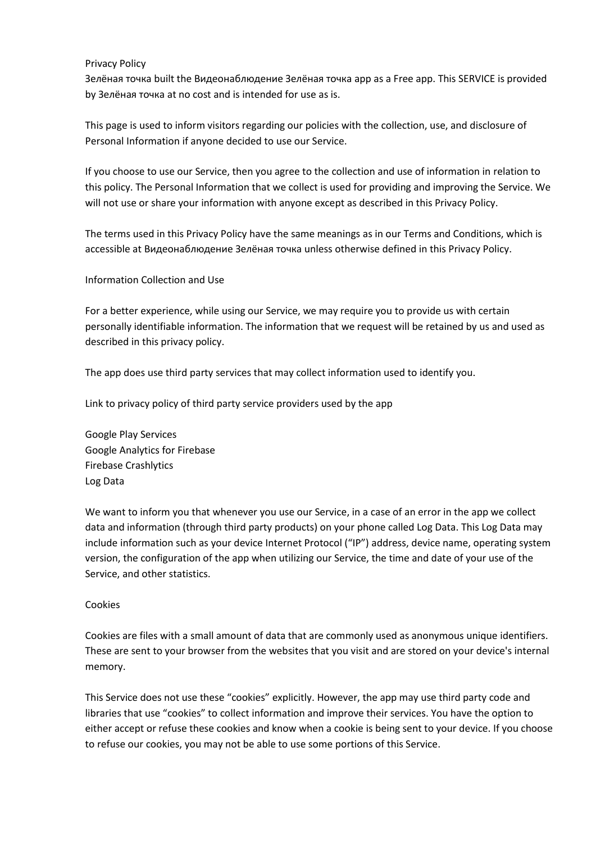# Privacy Policy

Зелёная точка built the Видеонаблюдение Зелёная точка app as a Free app. This SERVICE is provided by Зелёная точка at no cost and is intended for use as is.

This page is used to inform visitors regarding our policies with the collection, use, and disclosure of Personal Information if anyone decided to use our Service.

If you choose to use our Service, then you agree to the collection and use of information in relation to this policy. The Personal Information that we collect is used for providing and improving the Service. We will not use or share your information with anyone except as described in this Privacy Policy.

The terms used in this Privacy Policy have the same meanings as in our Terms and Conditions, which is accessible at Видеонаблюдение Зелёная точка unless otherwise defined in this Privacy Policy.

# Information Collection and Use

For a better experience, while using our Service, we may require you to provide us with certain personally identifiable information. The information that we request will be retained by us and used as described in this privacy policy.

The app does use third party services that may collect information used to identify you.

Link to privacy policy of third party service providers used by the app

Google Play Services Google Analytics for Firebase Firebase Crashlytics Log Data

We want to inform you that whenever you use our Service, in a case of an error in the app we collect data and information (through third party products) on your phone called Log Data. This Log Data may include information such as your device Internet Protocol ("IP") address, device name, operating system version, the configuration of the app when utilizing our Service, the time and date of your use of the Service, and other statistics.

### Cookies

Cookies are files with a small amount of data that are commonly used as anonymous unique identifiers. These are sent to your browser from the websites that you visit and are stored on your device's internal memory.

This Service does not use these "cookies" explicitly. However, the app may use third party code and libraries that use "cookies" to collect information and improve their services. You have the option to either accept or refuse these cookies and know when a cookie is being sent to your device. If you choose to refuse our cookies, you may not be able to use some portions of this Service.